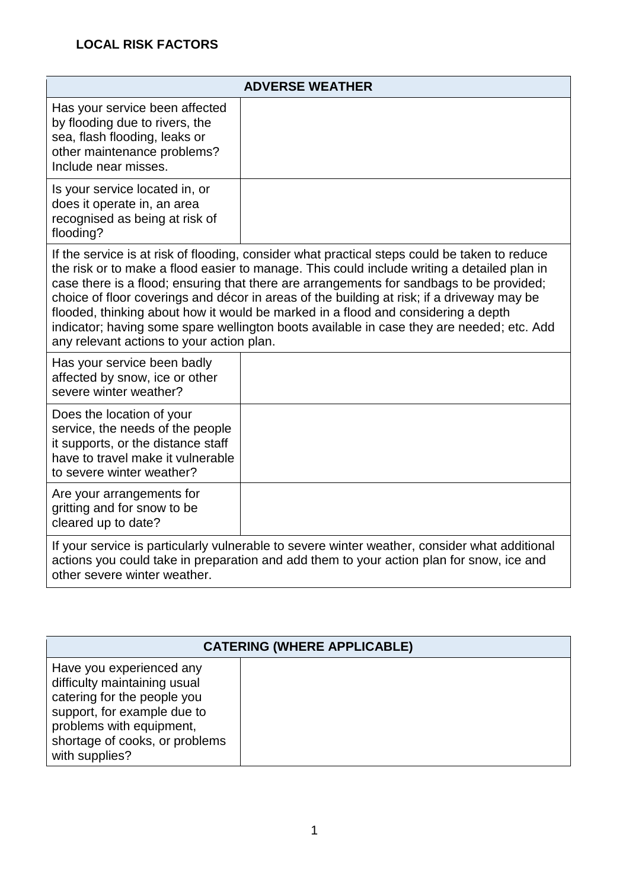## **LOCAL RISK FACTORS**

| <b>ADVERSE WEATHER</b>                                                                                                                                                                                                                                                                                                                                                                                                                                                                                                                                                                                                |  |  |
|-----------------------------------------------------------------------------------------------------------------------------------------------------------------------------------------------------------------------------------------------------------------------------------------------------------------------------------------------------------------------------------------------------------------------------------------------------------------------------------------------------------------------------------------------------------------------------------------------------------------------|--|--|
| Has your service been affected<br>by flooding due to rivers, the<br>sea, flash flooding, leaks or<br>other maintenance problems?<br>Include near misses.                                                                                                                                                                                                                                                                                                                                                                                                                                                              |  |  |
| Is your service located in, or<br>does it operate in, an area<br>recognised as being at risk of<br>flooding?                                                                                                                                                                                                                                                                                                                                                                                                                                                                                                          |  |  |
| If the service is at risk of flooding, consider what practical steps could be taken to reduce<br>the risk or to make a flood easier to manage. This could include writing a detailed plan in<br>case there is a flood; ensuring that there are arrangements for sandbags to be provided;<br>choice of floor coverings and décor in areas of the building at risk; if a driveway may be<br>flooded, thinking about how it would be marked in a flood and considering a depth<br>indicator; having some spare wellington boots available in case they are needed; etc. Add<br>any relevant actions to your action plan. |  |  |
| Has your service been badly<br>affected by snow, ice or other<br>severe winter weather?                                                                                                                                                                                                                                                                                                                                                                                                                                                                                                                               |  |  |
| Does the location of your<br>service, the needs of the people<br>it supports, or the distance staff<br>have to travel make it vulnerable<br>to severe winter weather?                                                                                                                                                                                                                                                                                                                                                                                                                                                 |  |  |
| Are your arrangements for<br>gritting and for snow to be<br>cleared up to date?                                                                                                                                                                                                                                                                                                                                                                                                                                                                                                                                       |  |  |
| If your service is particularly vulnerable to severe winter weather, consider what additional<br>actions you could take in preparation and add them to your action plan for snow, ice and<br>other severe winter weather.                                                                                                                                                                                                                                                                                                                                                                                             |  |  |

| <b>CATERING (WHERE APPLICABLE)</b>                                                                                                                                                                     |  |
|--------------------------------------------------------------------------------------------------------------------------------------------------------------------------------------------------------|--|
| Have you experienced any<br>difficulty maintaining usual<br>catering for the people you<br>support, for example due to<br>problems with equipment,<br>shortage of cooks, or problems<br>with supplies? |  |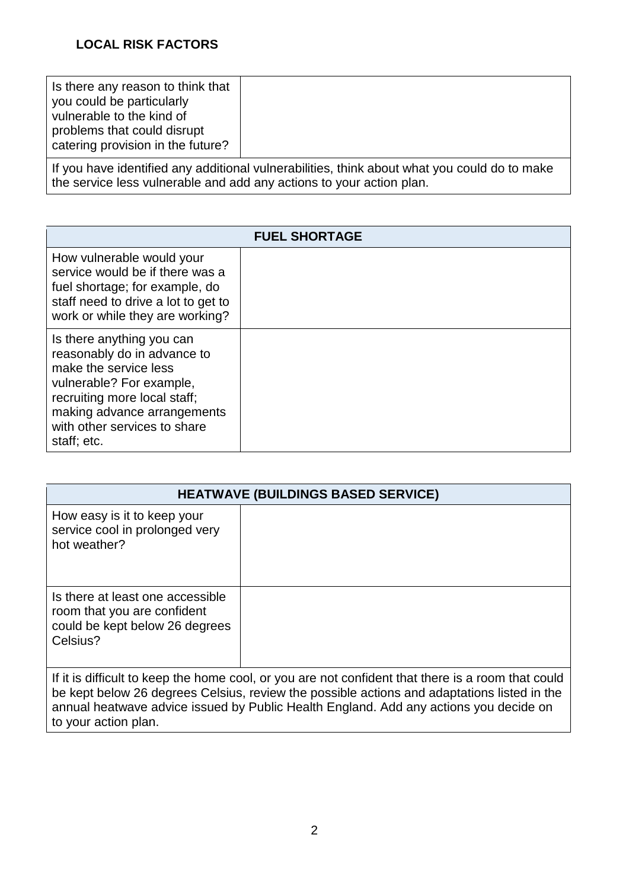| Is there any reason to think that<br>you could be particularly<br>vulnerable to the kind of<br>problems that could disrupt<br>catering provision in the future? |  |
|-----------------------------------------------------------------------------------------------------------------------------------------------------------------|--|
|-----------------------------------------------------------------------------------------------------------------------------------------------------------------|--|

If you have identified any additional vulnerabilities, think about what you could do to make the service less vulnerable and add any actions to your action plan.

| <b>FUEL SHORTAGE</b>                                                                                                                                                                                                        |  |  |
|-----------------------------------------------------------------------------------------------------------------------------------------------------------------------------------------------------------------------------|--|--|
| How vulnerable would your<br>service would be if there was a<br>fuel shortage; for example, do<br>staff need to drive a lot to get to<br>work or while they are working?                                                    |  |  |
| Is there anything you can<br>reasonably do in advance to<br>make the service less<br>vulnerable? For example,<br>recruiting more local staff;<br>making advance arrangements<br>with other services to share<br>staff; etc. |  |  |

| <b>HEATWAVE (BUILDINGS BASED SERVICE)</b>                                                                     |  |
|---------------------------------------------------------------------------------------------------------------|--|
| How easy is it to keep your<br>service cool in prolonged very<br>hot weather?                                 |  |
| Is there at least one accessible<br>room that you are confident<br>could be kept below 26 degrees<br>Celsius? |  |

If it is difficult to keep the home cool, or you are not confident that there is a room that could be kept below 26 degrees Celsius, review the possible actions and adaptations listed in the annual heatwave advice issued by Public Health England. Add any actions you decide on to your action plan.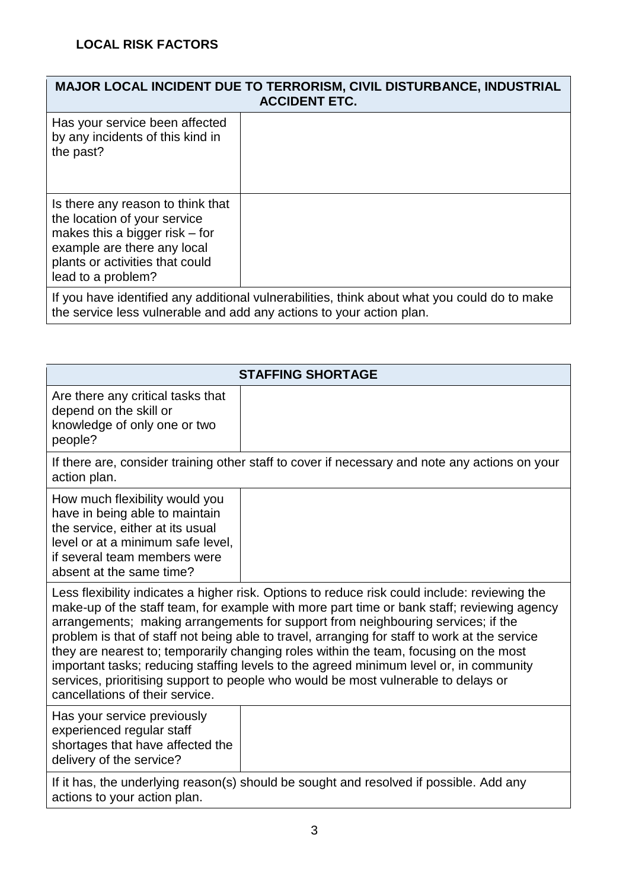| MAJOR LOCAL INCIDENT DUE TO TERRORISM, CIVIL DISTURBANCE, INDUSTRIAL<br><b>ACCIDENT ETC.</b>                                                                                                  |  |
|-----------------------------------------------------------------------------------------------------------------------------------------------------------------------------------------------|--|
| Has your service been affected<br>by any incidents of this kind in<br>the past?                                                                                                               |  |
| Is there any reason to think that<br>the location of your service<br>makes this a bigger risk $-$ for<br>example are there any local<br>plants or activities that could<br>lead to a problem? |  |
| If you have identified any additional vulnerabilities, think about what you could do to make<br>the service less vulnerable and add any actions to your action plan.                          |  |

| <b>STAFFING SHORTAGE</b>                                                                                                                                                                                                                                                                                                                                                                                                                                                                                                                                                                                                                                                                     |  |  |
|----------------------------------------------------------------------------------------------------------------------------------------------------------------------------------------------------------------------------------------------------------------------------------------------------------------------------------------------------------------------------------------------------------------------------------------------------------------------------------------------------------------------------------------------------------------------------------------------------------------------------------------------------------------------------------------------|--|--|
| Are there any critical tasks that<br>depend on the skill or<br>knowledge of only one or two<br>people?                                                                                                                                                                                                                                                                                                                                                                                                                                                                                                                                                                                       |  |  |
| If there are, consider training other staff to cover if necessary and note any actions on your<br>action plan.                                                                                                                                                                                                                                                                                                                                                                                                                                                                                                                                                                               |  |  |
| How much flexibility would you<br>have in being able to maintain<br>the service, either at its usual<br>level or at a minimum safe level,<br>if several team members were<br>absent at the same time?                                                                                                                                                                                                                                                                                                                                                                                                                                                                                        |  |  |
| Less flexibility indicates a higher risk. Options to reduce risk could include: reviewing the<br>make-up of the staff team, for example with more part time or bank staff; reviewing agency<br>arrangements; making arrangements for support from neighbouring services; if the<br>problem is that of staff not being able to travel, arranging for staff to work at the service<br>they are nearest to; temporarily changing roles within the team, focusing on the most<br>important tasks; reducing staffing levels to the agreed minimum level or, in community<br>services, prioritising support to people who would be most vulnerable to delays or<br>cancellations of their service. |  |  |
| Has your service previously<br>experienced regular staff<br>shortages that have affected the<br>delivery of the service?                                                                                                                                                                                                                                                                                                                                                                                                                                                                                                                                                                     |  |  |
| If it has, the underlying reason(s) should be sought and resolved if possible. Add any<br>actions to your action plan.                                                                                                                                                                                                                                                                                                                                                                                                                                                                                                                                                                       |  |  |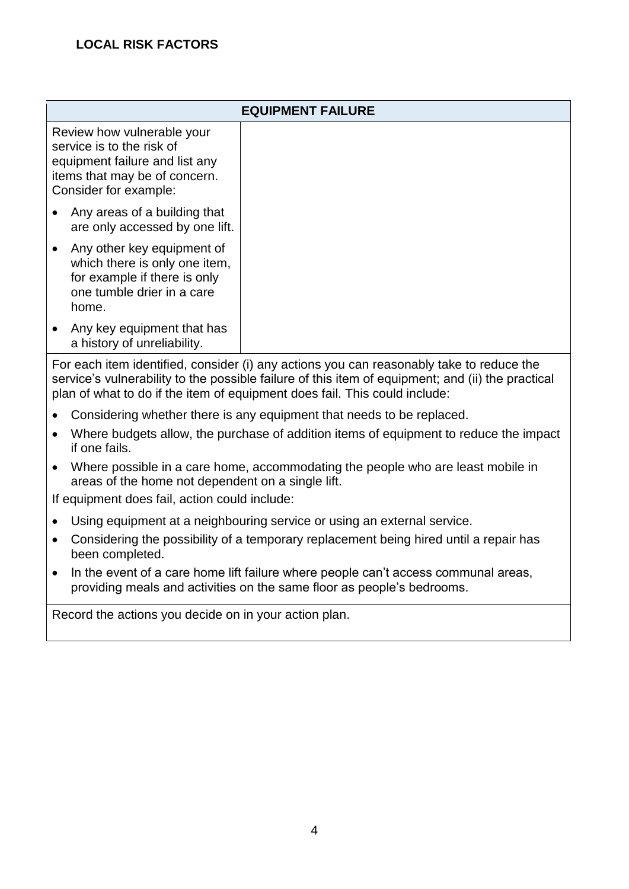| <b>EQUIPMENT FAILURE</b>                                                                                                                            |  |  |
|-----------------------------------------------------------------------------------------------------------------------------------------------------|--|--|
| Review how vulnerable your<br>service is to the risk of<br>equipment failure and list any<br>items that may be of concern.<br>Consider for example: |  |  |
| Any areas of a building that<br>are only accessed by one lift.                                                                                      |  |  |
| Any other key equipment of<br>which there is only one item,<br>for example if there is only<br>one tumble drier in a care<br>home.                  |  |  |
| Any key equipment that has<br>a history of unreliability.                                                                                           |  |  |

For each item identified, consider (i) any actions you can reasonably take to reduce the service's vulnerability to the possible failure of this item of equipment; and (ii) the practical plan of what to do if the item of equipment does fail. This could include:

- Considering whether there is any equipment that needs to be replaced.
- Where budgets allow, the purchase of addition items of equipment to reduce the impact if one fails.
- Where possible in a care home, accommodating the people who are least mobile in areas of the home not dependent on a single lift.

If equipment does fail, action could include:

- Using equipment at a neighbouring service or using an external service.
- Considering the possibility of a temporary replacement being hired until a repair has been completed.
- In the event of a care home lift failure where people can't access communal areas, providing meals and activities on the same floor as people's bedrooms.

Record the actions you decide on in your action plan.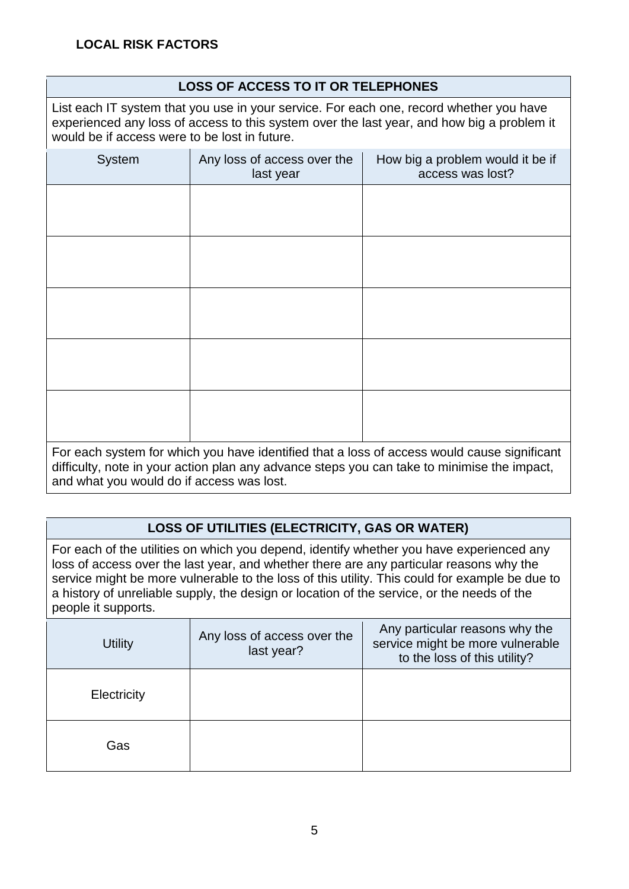### **LOSS OF ACCESS TO IT OR TELEPHONES**

List each IT system that you use in your service. For each one, record whether you have experienced any loss of access to this system over the last year, and how big a problem it would be if access were to be lost in future.

| System | Any loss of access over the<br>last year                                                                                                                                                                                              | How big a problem would it be if<br>access was lost? |
|--------|---------------------------------------------------------------------------------------------------------------------------------------------------------------------------------------------------------------------------------------|------------------------------------------------------|
|        |                                                                                                                                                                                                                                       |                                                      |
|        |                                                                                                                                                                                                                                       |                                                      |
|        |                                                                                                                                                                                                                                       |                                                      |
|        |                                                                                                                                                                                                                                       |                                                      |
|        |                                                                                                                                                                                                                                       |                                                      |
|        |                                                                                                                                                                                                                                       |                                                      |
|        |                                                                                                                                                                                                                                       |                                                      |
|        |                                                                                                                                                                                                                                       |                                                      |
|        | $\blacksquare$ . The second contract of the second contract of the second contract of the second second second second second second second second second second second second second second second second second second second second | and the second contract of the second                |

For each system for which you have identified that a loss of access would cause significant difficulty, note in your action plan any advance steps you can take to minimise the impact, and what you would do if access was lost.

#### **LOSS OF UTILITIES (ELECTRICITY, GAS OR WATER)**

For each of the utilities on which you depend, identify whether you have experienced any loss of access over the last year, and whether there are any particular reasons why the service might be more vulnerable to the loss of this utility. This could for example be due to a history of unreliable supply, the design or location of the service, or the needs of the people it supports.

| <b>Utility</b> | Any loss of access over the<br>last year? | Any particular reasons why the<br>service might be more vulnerable<br>to the loss of this utility? |
|----------------|-------------------------------------------|----------------------------------------------------------------------------------------------------|
| Electricity    |                                           |                                                                                                    |
| Gas            |                                           |                                                                                                    |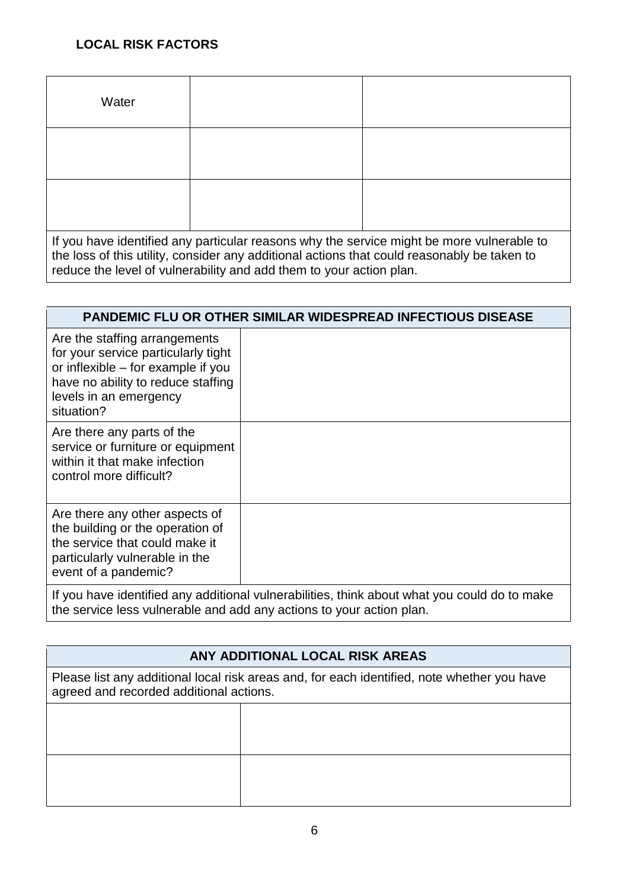### **LOCAL RISK FACTORS**

| Water                                                                                                                                                                                    |  |  |
|------------------------------------------------------------------------------------------------------------------------------------------------------------------------------------------|--|--|
|                                                                                                                                                                                          |  |  |
|                                                                                                                                                                                          |  |  |
| If you have identified any particular reasons why the service might be more vulnerable to<br>the loss of this utility, consider any additional actions that could reasonably be taken to |  |  |

reduce the level of vulnerability and add them to your action plan.

| <b>PANDEMIC FLU OR OTHER SIMILAR WIDESPREAD INFECTIOUS DISEASE</b>                                                                                                                       |  |  |
|------------------------------------------------------------------------------------------------------------------------------------------------------------------------------------------|--|--|
| Are the staffing arrangements<br>for your service particularly tight<br>or inflexible – for example if you<br>have no ability to reduce staffing<br>levels in an emergency<br>situation? |  |  |
| Are there any parts of the<br>service or furniture or equipment<br>within it that make infection<br>control more difficult?                                                              |  |  |
| Are there any other aspects of<br>the building or the operation of<br>the service that could make it<br>particularly vulnerable in the<br>event of a pandemic?                           |  |  |
| If you have identified any additional vulnerabilities, think about what you could do to make                                                                                             |  |  |

the service less vulnerable and add any actions to your action plan.

# **ANY ADDITIONAL LOCAL RISK AREAS**

Please list any additional local risk areas and, for each identified, note whether you have agreed and recorded additional actions.